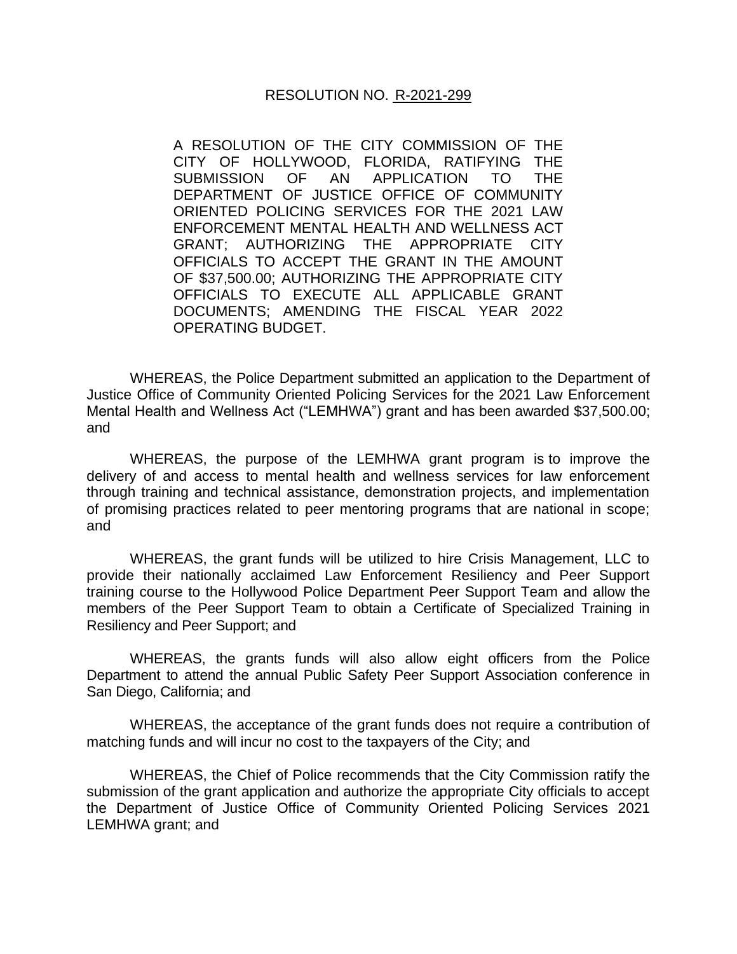## RESOLUTION NO. R-2021-299

A RESOLUTION OF THE CITY COMMISSION OF THE CITY OF HOLLYWOOD, FLORIDA, RATIFYING THE SUBMISSION OF AN APPLICATION TO THE DEPARTMENT OF JUSTICE OFFICE OF COMMUNITY ORIENTED POLICING SERVICES FOR THE 2021 LAW ENFORCEMENT MENTAL HEALTH AND WELLNESS ACT GRANT; AUTHORIZING THE APPROPRIATE CITY OFFICIALS TO ACCEPT THE GRANT IN THE AMOUNT OF \$37,500.00; AUTHORIZING THE APPROPRIATE CITY OFFICIALS TO EXECUTE ALL APPLICABLE GRANT DOCUMENTS; AMENDING THE FISCAL YEAR 2022 OPERATING BUDGET.

WHEREAS, the Police Department submitted an application to the Department of Justice Office of Community Oriented Policing Services for the 2021 Law Enforcement Mental Health and Wellness Act ("LEMHWA") grant and has been awarded \$37,500.00; and

WHEREAS, the purpose of the LEMHWA grant program is to improve the delivery of and access to mental health and wellness services for law enforcement through training and technical assistance, demonstration projects, and implementation of promising practices related to peer mentoring programs that are national in scope; and

WHEREAS, the grant funds will be utilized to hire Crisis Management, LLC to provide their nationally acclaimed Law Enforcement Resiliency and Peer Support training course to the Hollywood Police Department Peer Support Team and allow the members of the Peer Support Team to obtain a Certificate of Specialized Training in Resiliency and Peer Support; and

WHEREAS, the grants funds will also allow eight officers from the Police Department to attend the annual Public Safety Peer Support Association conference in San Diego, California; and

WHEREAS, the acceptance of the grant funds does not require a contribution of matching funds and will incur no cost to the taxpayers of the City; and

WHEREAS, the Chief of Police recommends that the City Commission ratify the submission of the grant application and authorize the appropriate City officials to accept the Department of Justice Office of Community Oriented Policing Services 2021 LEMHWA grant; and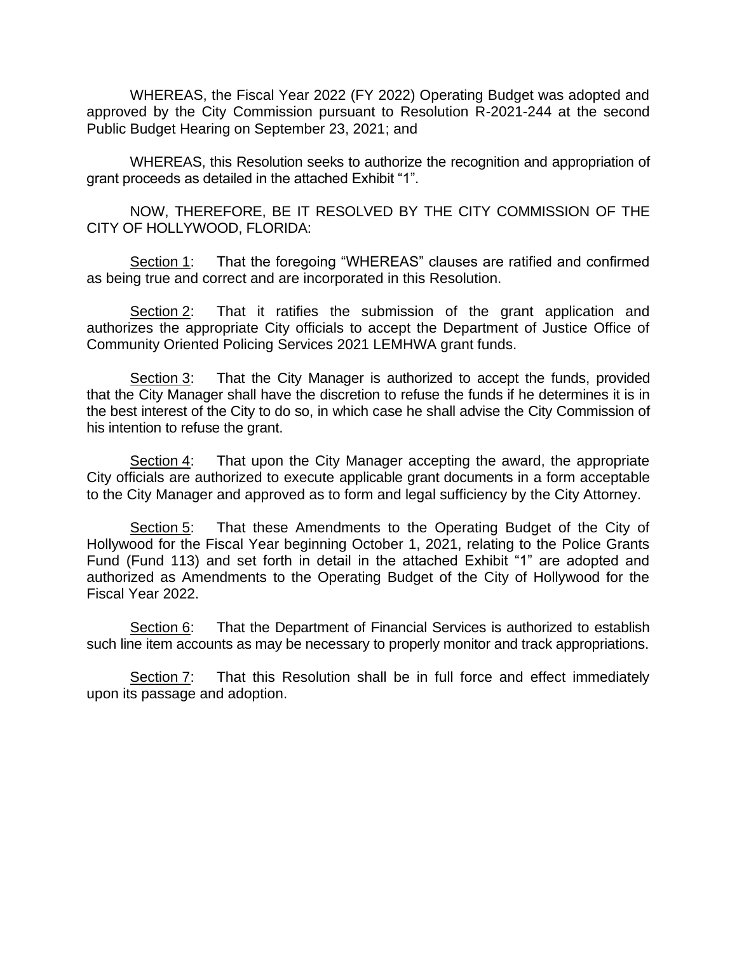WHEREAS, the Fiscal Year 2022 (FY 2022) Operating Budget was adopted and approved by the City Commission pursuant to Resolution R-2021-244 at the second Public Budget Hearing on September 23, 2021; and

WHEREAS, this Resolution seeks to authorize the recognition and appropriation of grant proceeds as detailed in the attached Exhibit "1".

NOW, THEREFORE, BE IT RESOLVED BY THE CITY COMMISSION OF THE CITY OF HOLLYWOOD, FLORIDA:

Section 1: That the foregoing "WHEREAS" clauses are ratified and confirmed as being true and correct and are incorporated in this Resolution.

Section 2: That it ratifies the submission of the grant application and authorizes the appropriate City officials to accept the Department of Justice Office of Community Oriented Policing Services 2021 LEMHWA grant funds.

Section 3: That the City Manager is authorized to accept the funds, provided that the City Manager shall have the discretion to refuse the funds if he determines it is in the best interest of the City to do so, in which case he shall advise the City Commission of his intention to refuse the grant.

Section 4: That upon the City Manager accepting the award, the appropriate City officials are authorized to execute applicable grant documents in a form acceptable to the City Manager and approved as to form and legal sufficiency by the City Attorney.

Section 5: That these Amendments to the Operating Budget of the City of Hollywood for the Fiscal Year beginning October 1, 2021, relating to the Police Grants Fund (Fund 113) and set forth in detail in the attached Exhibit "1" are adopted and authorized as Amendments to the Operating Budget of the City of Hollywood for the Fiscal Year 2022.

Section 6: That the Department of Financial Services is authorized to establish such line item accounts as may be necessary to properly monitor and track appropriations.

Section 7: That this Resolution shall be in full force and effect immediately upon its passage and adoption.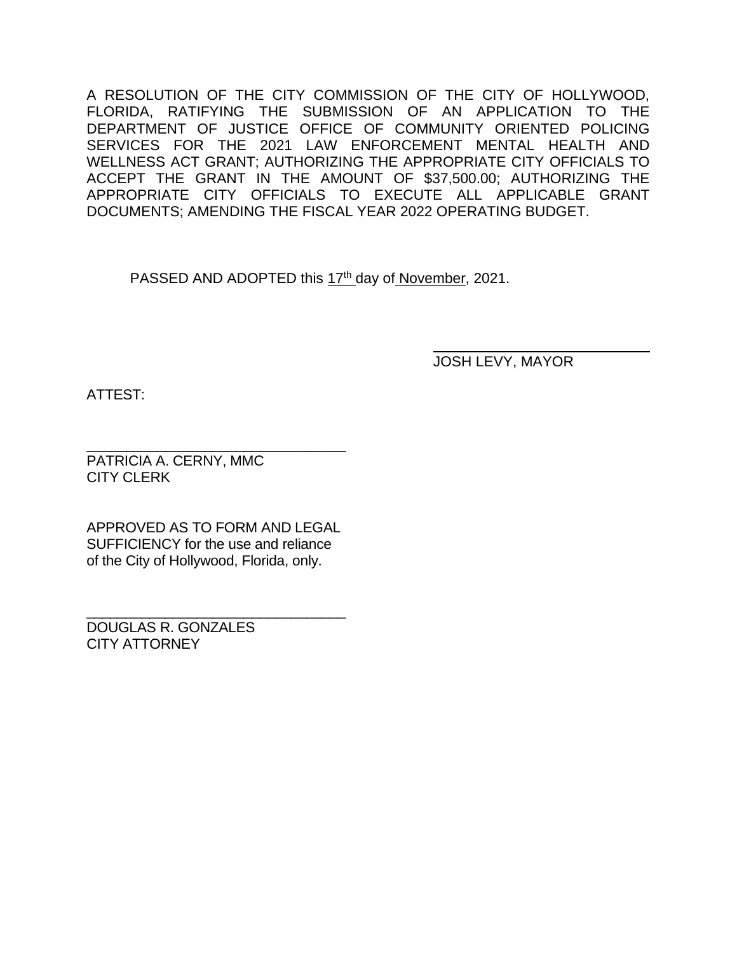A RESOLUTION OF THE CITY COMMISSION OF THE CITY OF HOLLYWOOD, FLORIDA, RATIFYING THE SUBMISSION OF AN APPLICATION TO THE DEPARTMENT OF JUSTICE OFFICE OF COMMUNITY ORIENTED POLICING SERVICES FOR THE 2021 LAW ENFORCEMENT MENTAL HEALTH AND WELLNESS ACT GRANT; AUTHORIZING THE APPROPRIATE CITY OFFICIALS TO ACCEPT THE GRANT IN THE AMOUNT OF \$37,500.00; AUTHORIZING THE APPROPRIATE CITY OFFICIALS TO EXECUTE ALL APPLICABLE GRANT DOCUMENTS; AMENDING THE FISCAL YEAR 2022 OPERATING BUDGET.

PASSED AND ADOPTED this 17<sup>th</sup> day of November, 2021.

JOSH LEVY, MAYOR

ATTEST:

\_\_\_\_\_\_\_\_\_\_\_\_\_\_\_\_\_\_\_\_\_\_\_\_\_\_\_\_\_\_\_\_\_ PATRICIA A. CERNY, MMC CITY CLERK

APPROVED AS TO FORM AND LEGAL SUFFICIENCY for the use and reliance of the City of Hollywood, Florida, only.

\_\_\_\_\_\_\_\_\_\_\_\_\_\_\_\_\_\_\_\_\_\_\_\_\_\_\_\_\_\_\_\_\_

DOUGLAS R. GONZALES CITY ATTORNEY